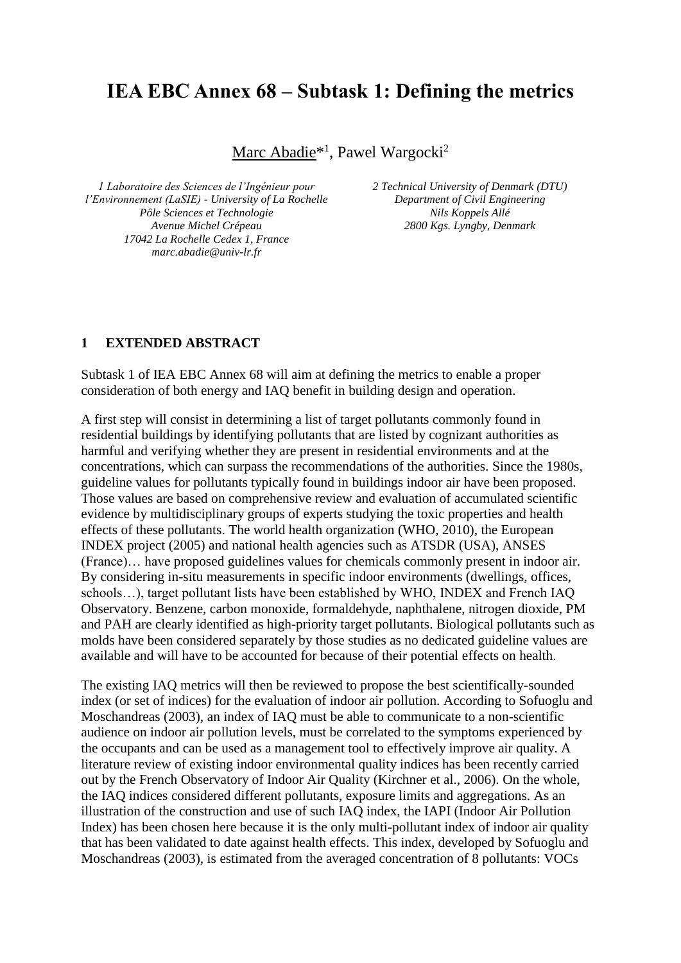## **IEA EBC Annex 68 – Subtask 1: Defining the metrics**

Marc Abadie<sup>\*1</sup>, Pawel Wargocki<sup>2</sup>

*1 Laboratoire des Sciences de l'Ingénieur pour l'Environnement (LaSIE) - University of La Rochelle Pôle Sciences et Technologie Avenue Michel Crépeau 17042 La Rochelle Cedex 1, France marc.abadie@univ-lr.fr*

*2 Technical University of Denmark (DTU) Department of Civil Engineering Nils Koppels Allé 2800 Kgs. Lyngby, Denmark*

## **1 EXTENDED ABSTRACT**

Subtask 1 of IEA EBC Annex 68 will aim at defining the metrics to enable a proper consideration of both energy and IAQ benefit in building design and operation.

A first step will consist in determining a list of target pollutants commonly found in residential buildings by identifying pollutants that are listed by cognizant authorities as harmful and verifying whether they are present in residential environments and at the concentrations, which can surpass the recommendations of the authorities. Since the 1980s, guideline values for pollutants typically found in buildings indoor air have been proposed. Those values are based on comprehensive review and evaluation of accumulated scientific evidence by multidisciplinary groups of experts studying the toxic properties and health effects of these pollutants. The world health organization (WHO, 2010), the European INDEX project (2005) and national health agencies such as ATSDR (USA), ANSES (France)… have proposed guidelines values for chemicals commonly present in indoor air. By considering in-situ measurements in specific indoor environments (dwellings, offices, schools…), target pollutant lists have been established by WHO, INDEX and French IAQ Observatory. Benzene, carbon monoxide, formaldehyde, naphthalene, nitrogen dioxide, PM and PAH are clearly identified as high-priority target pollutants. Biological pollutants such as molds have been considered separately by those studies as no dedicated guideline values are available and will have to be accounted for because of their potential effects on health.

The existing IAQ metrics will then be reviewed to propose the best scientifically-sounded index (or set of indices) for the evaluation of indoor air pollution. According to Sofuoglu and Moschandreas (2003), an index of IAQ must be able to communicate to a non-scientific audience on indoor air pollution levels, must be correlated to the symptoms experienced by the occupants and can be used as a management tool to effectively improve air quality. A literature review of existing indoor environmental quality indices has been recently carried out by the French Observatory of Indoor Air Quality (Kirchner et al., 2006). On the whole, the IAQ indices considered different pollutants, exposure limits and aggregations. As an illustration of the construction and use of such IAQ index, the IAPI (Indoor Air Pollution Index) has been chosen here because it is the only multi-pollutant index of indoor air quality that has been validated to date against health effects. This index, developed by Sofuoglu and Moschandreas (2003), is estimated from the averaged concentration of 8 pollutants: VOCs